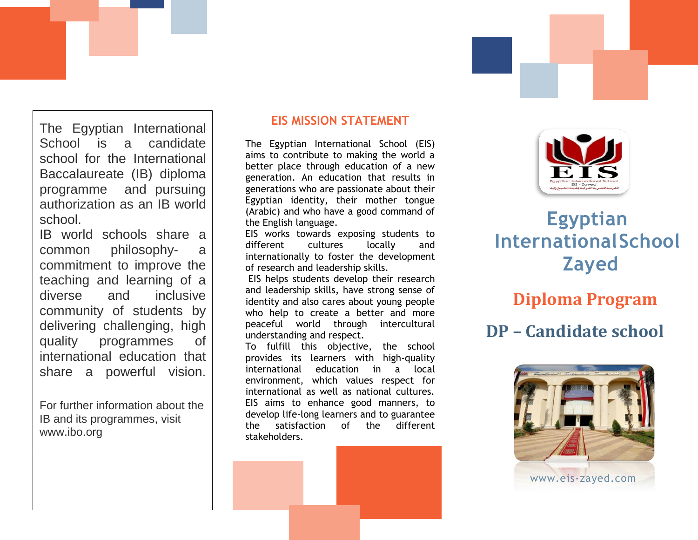The Egyptian International School is a candidate school for the International Baccalaureate (IB) diploma programme and pursuing authorization as an IB world school.

IB world schools share a common philosophy- a commitment to improve the teaching and learning of a diverse and inclusive community of students by delivering challenging, high quality programmes of international education that share a powerful vision.

For further information about the IB and its programmes, visit www.ibo.org

### **EIS MISSION STATEMENT**

The Egyptian International School (EIS) aims to contribute to making the world a better place through education of a new generation. An education that results in generations who are passionate about their Egyptian identity, their mother tongue (Arabic) and who have a good command of the English language.

EIS works towards exposing students to different cultures locally and internationally to foster the development of research and leadership skills.

EIS helps students develop their research and leadership skills, have strong sense of identity and also cares about young people who help to create a better and more peaceful world through intercultural understanding and respect.

To fulfill this objective, the school provides its learners with high-quality international education in a local environment, which values respect for international as well as national cultures. EIS aims to enhance good manners, to develop life-long learners and to guarantee the satisfaction of the different stakeholders.



# **Egyptian InternationalSchool Zayed**

# **Diploma Program**

# **DP – Candidate school**